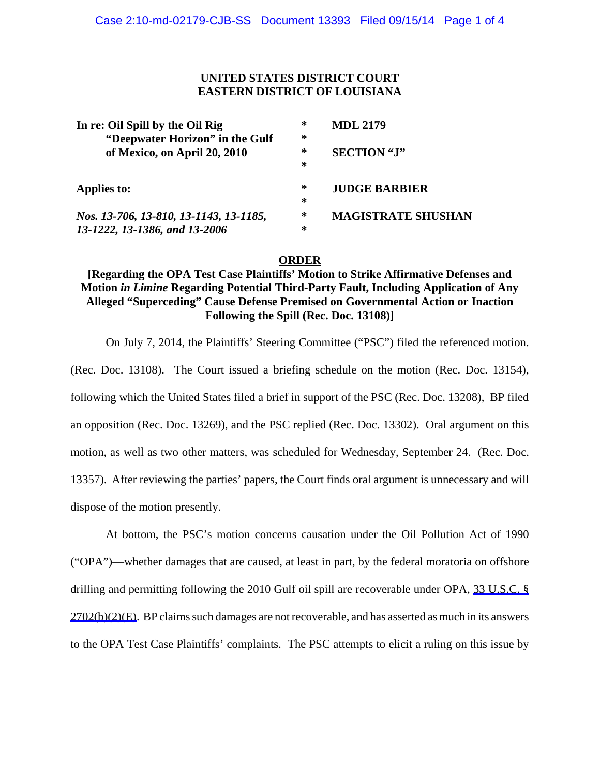### **UNITED STATES DISTRICT COURT EASTERN DISTRICT OF LOUISIANA**

| In re: Oil Spill by the Oil Rig        | ∗ | <b>MDL 2179</b>           |
|----------------------------------------|---|---------------------------|
| "Deepwater Horizon" in the Gulf        | ∗ |                           |
| of Mexico, on April 20, 2010           | ∗ | <b>SECTION</b> "J"        |
|                                        | ∗ |                           |
| Applies to:                            | ∗ | <b>JUDGE BARBIER</b>      |
|                                        | ∗ |                           |
| Nos. 13-706, 13-810, 13-1143, 13-1185, | ∗ | <b>MAGISTRATE SHUSHAN</b> |
| 13-1222, 13-1386, and 13-2006          | ∗ |                           |

#### **ORDER**

## **[Regarding the OPA Test Case Plaintiffs' Motion to Strike Affirmative Defenses and Motion** *in Limine* **Regarding Potential Third-Party Fault, Including Application of Any Alleged "Superceding" Cause Defense Premised on Governmental Action or Inaction Following the Spill (Rec. Doc. 13108)]**

On July 7, 2014, the Plaintiffs' Steering Committee ("PSC") filed the referenced motion. (Rec. Doc. 13108). The Court issued a briefing schedule on the motion (Rec. Doc. 13154), following which the United States filed a brief in support of the PSC (Rec. Doc. 13208), BP filed an opposition (Rec. Doc. 13269), and the PSC replied (Rec. Doc. 13302). Oral argument on this motion, as well as two other matters, was scheduled for Wednesday, September 24. (Rec. Doc. 13357). After reviewing the parties' papers, the Court finds oral argument is unnecessary and will dispose of the motion presently.

At bottom, the PSC's motion concerns causation under the Oil Pollution Act of 1990 ("OPA")—whether damages that are caused, at least in part, by the federal moratoria on offshore drilling and permitting following the 2010 Gulf oil spill are recoverable under OPA, 33 U.S.C. § 2702(b)(2)(E). BP claims such damages are not recoverable, and has asserted as much in its answers to the OPA Test Case Plaintiffs' complaints. The PSC attempts to elicit a ruling on this issue by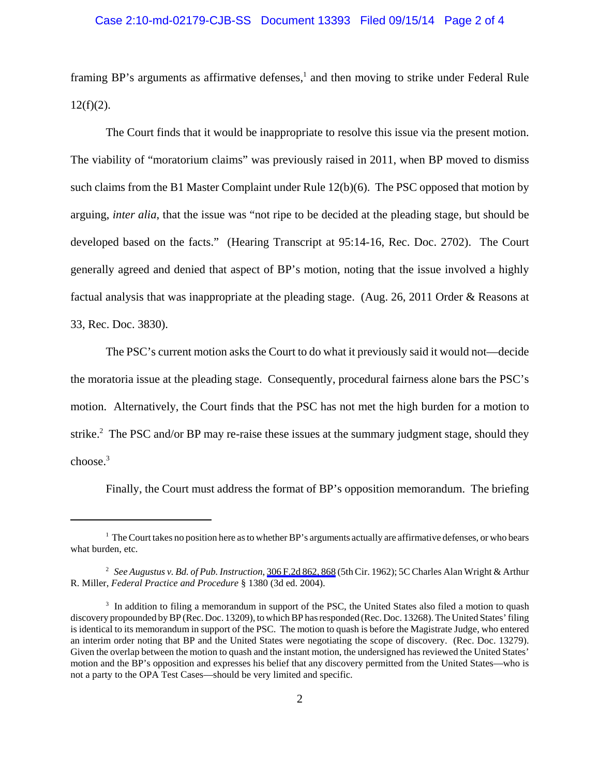# Case 2:10-md-02179-CJB-SS Document 13393 Filed 09/15/14 Page 2 of 4

framing BP's arguments as affirmative defenses,<sup>1</sup> and then moving to strike under Federal Rule  $12(f)(2)$ .

The Court finds that it would be inappropriate to resolve this issue via the present motion. The viability of "moratorium claims" was previously raised in 2011, when BP moved to dismiss such claims from the B1 Master Complaint under Rule 12(b)(6). The PSC opposed that motion by arguing, *inter alia*, that the issue was "not ripe to be decided at the pleading stage, but should be developed based on the facts." (Hearing Transcript at 95:14-16, Rec. Doc. 2702). The Court generally agreed and denied that aspect of BP's motion, noting that the issue involved a highly factual analysis that was inappropriate at the pleading stage. (Aug. 26, 2011 Order & Reasons at 33, Rec. Doc. 3830).

The PSC's current motion asks the Court to do what it previously said it would not—decide the moratoria issue at the pleading stage. Consequently, procedural fairness alone bars the PSC's motion. Alternatively, the Court finds that the PSC has not met the high burden for a motion to strike.<sup>2</sup> The PSC and/or BP may re-raise these issues at the summary judgment stage, should they choose.<sup>3</sup>

Finally, the Court must address the format of BP's opposition memorandum. The briefing

 $1$  The Court takes no position here as to whether BP's arguments actually are affirmative defenses, or who bears what burden, etc.

<sup>2</sup> *See Augustus v. Bd. of Pub. Instruction*, 306 F.2d 862, 868 (5th Cir. 1962); 5C Charles Alan Wright & Arthur R. Miller, *Federal Practice and Procedure* § 1380 (3d ed. 2004).

<sup>&</sup>lt;sup>3</sup> In addition to filing a memorandum in support of the PSC, the United States also filed a motion to quash discovery propounded by BP (Rec. Doc. 13209), to which BP has responded (Rec. Doc. 13268). The United States' filing is identical to its memorandum in support of the PSC. The motion to quash is before the Magistrate Judge, who entered an interim order noting that BP and the United States were negotiating the scope of discovery. (Rec. Doc. 13279). Given the overlap between the motion to quash and the instant motion, the undersigned has reviewed the United States' motion and the BP's opposition and expresses his belief that any discovery permitted from the United States—who is not a party to the OPA Test Cases—should be very limited and specific.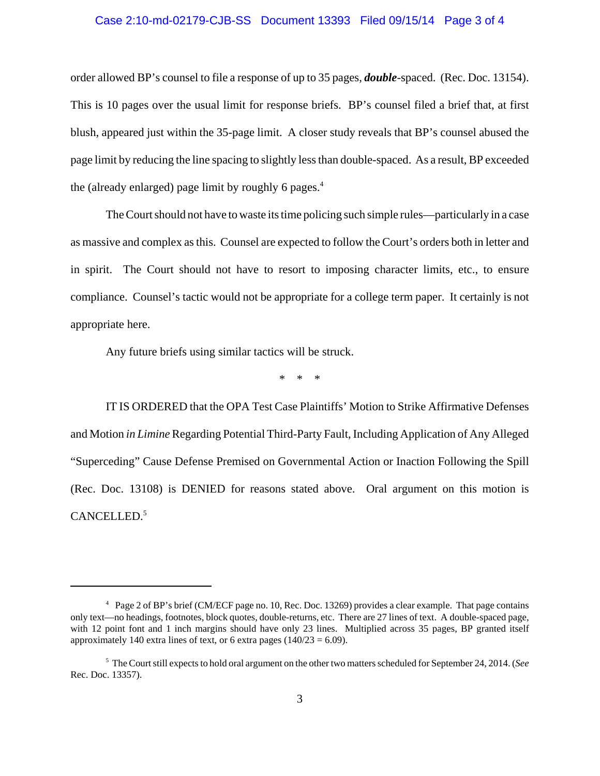#### Case 2:10-md-02179-CJB-SS Document 13393 Filed 09/15/14 Page 3 of 4

order allowed BP's counsel to file a response of up to 35 pages, *double*-spaced. (Rec. Doc. 13154). This is 10 pages over the usual limit for response briefs. BP's counsel filed a brief that, at first blush, appeared just within the 35-page limit. A closer study reveals that BP's counsel abused the page limit by reducing the line spacing to slightly less than double-spaced. As a result, BP exceeded the (already enlarged) page limit by roughly 6 pages. $4$ 

The Court should not have to waste its time policing such simple rules—particularly in a case as massive and complex as this. Counsel are expected to follow the Court's orders both in letter and in spirit. The Court should not have to resort to imposing character limits, etc., to ensure compliance. Counsel's tactic would not be appropriate for a college term paper. It certainly is not appropriate here.

Any future briefs using similar tactics will be struck.

\* \* \*

IT IS ORDERED that the OPA Test Case Plaintiffs' Motion to Strike Affirmative Defenses and Motion *in Limine* Regarding Potential Third-Party Fault, Including Application of Any Alleged "Superceding" Cause Defense Premised on Governmental Action or Inaction Following the Spill (Rec. Doc. 13108) is DENIED for reasons stated above. Oral argument on this motion is CANCELLED.<sup>5</sup>

<sup>&</sup>lt;sup>4</sup> Page 2 of BP's brief (CM/ECF page no. 10, Rec. Doc. 13269) provides a clear example. That page contains only text—no headings, footnotes, block quotes, double-returns, etc. There are 27 lines of text. A double-spaced page, with 12 point font and 1 inch margins should have only 23 lines. Multiplied across 35 pages, BP granted itself approximately 140 extra lines of text, or 6 extra pages ( $140/23 = 6.09$ ).

<sup>5</sup> The Court still expects to hold oral argument on the other two matters scheduled for September 24, 2014. (*See* Rec. Doc. 13357).